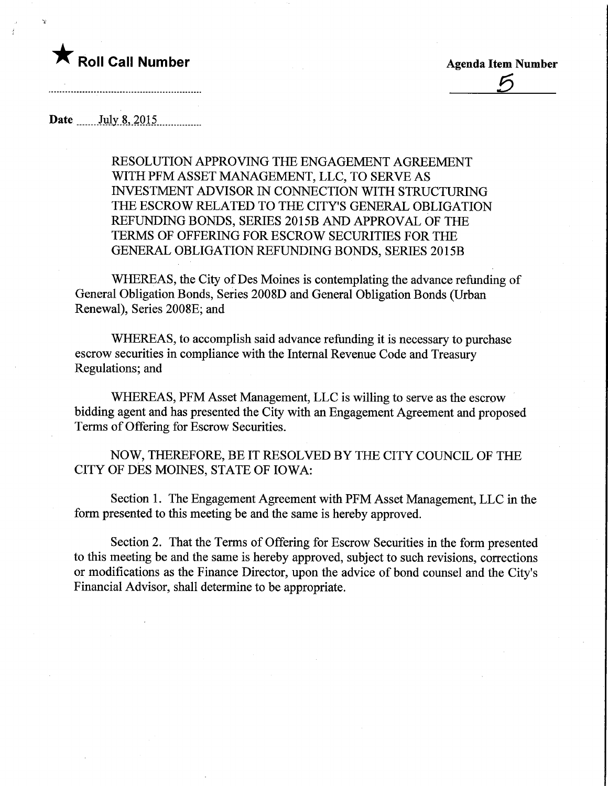## Roll Call Number<br>
Agenda Item Number<br>
<u>5</u>

Date ....... Jyly..8, 2015,

RESOLUTION APPROVING THE ENGAGEMENT AGREEMENT WITH PFM ASSET MANAGEMENT, LLC, TO SERVE AS INVESTMENT ADVISOR IN CONNECTION WITH STRUCTURING THE ESCROW RELATED TO THE CITY'S GENERAL OBLIGATION REFUNDING BONDS, SERIES 2015B AND APPROVAL OF THE TERMS OF OFFERING FOR ESCROW SECURITIES FOR THE GENERAL OBLIGATION REFUNDING BONDS, SERIES 2015B

WHEREAS, the City of Des Moines is contemplating the advance refunding of General Obligation Bonds, Series 2008D and General Obligation Bonds (Urban Renewal), Series 2008E; and

WHEREAS, to accomplish said advance refunding it is necessary to purchase escrow securities in compliance with the Internal Revenue Code and Treasury Regulations; and

WHEREAS, PFM Asset Management, LLC is willing to serve as the escrow bidding agent and has presented the City with an Engagement Agreement and proposed Terms of Offering for Escrow Securities.

NOW, THEREFORE, BE IT RESOLVED BY THE CITY COUNCIL OF THE CITY OF DES MOINES, STATE OF IOWA:

Section 1. The Engagement Agreement with PFM Asset Management, LLC in the form presented to this meeting be and the same is hereby approved.

Section 2. That the Terms of Offering for Escrow Securities in the form presented to this meeting be and the same is hereby approved, subject to such revisions, corrections or modifications as the Finance Director, upon the advice of bond counsel and the City's Financial Advisor, shall determine to be appropriate.